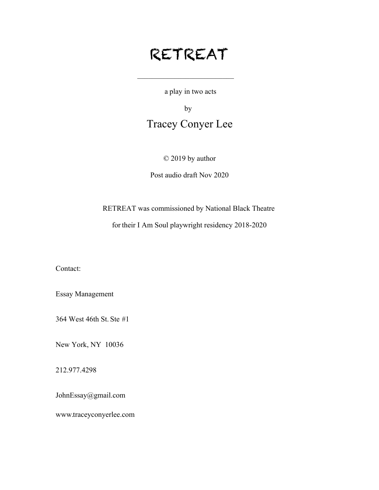# RETREAT

 $\mathcal{L}_\text{max}$  , where  $\mathcal{L}_\text{max}$  and  $\mathcal{L}_\text{max}$ 

a play in two acts

by

## Tracey Conyer Lee

### © 2019 by author

### Post audio draft Nov 2020

RETREAT was commissioned by National Black Theatre

for their I Am Soul playwright residency 2018-2020

Contact:

Essay Management

364 West 46th St. Ste #1

New York, NY 10036

212.977.4298

JohnEssay@gmail.com

www.traceyconyerlee.com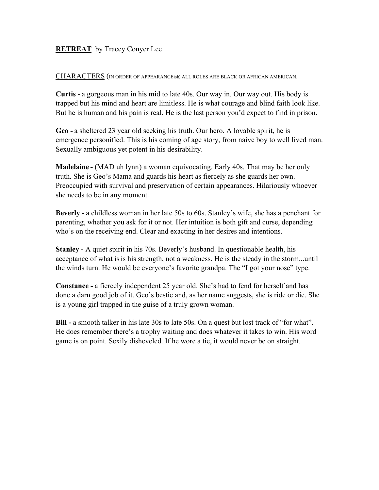### **RETREAT** by Tracey Conyer Lee

CHARACTERS (IN ORDER OF APPEARANCEish) ALL ROLES ARE BLACK OR AFRICAN AMERICAN.

**Curtis -** a gorgeous man in his mid to late 40s. Our way in. Our way out. His body is trapped but his mind and heart are limitless. He is what courage and blind faith look like. But he is human and his pain is real. He is the last person you'd expect to find in prison.

**Geo -** a sheltered 23 year old seeking his truth. Our hero. A lovable spirit, he is emergence personified. This is his coming of age story, from naive boy to well lived man. Sexually ambiguous yet potent in his desirability.

**Madelaine -** (MAD uh lynn) a woman equivocating. Early 40s. That may be her only truth. She is Geo's Mama and guards his heart as fiercely as she guards her own. Preoccupied with survival and preservation of certain appearances. Hilariously whoever she needs to be in any moment.

**Beverly -** a childless woman in her late 50s to 60s. Stanley's wife, she has a penchant for parenting, whether you ask for it or not. Her intuition is both gift and curse, depending who's on the receiving end. Clear and exacting in her desires and intentions.

**Stanley -** A quiet spirit in his 70s. Beverly's husband. In questionable health, his acceptance of what is is his strength, not a weakness. He is the steady in the storm...until the winds turn. He would be everyone's favorite grandpa. The "I got your nose" type.

**Constance -** a fiercely independent 25 year old. She's had to fend for herself and has done a darn good job of it. Geo's bestie and, as her name suggests, she is ride or die. She is a young girl trapped in the guise of a truly grown woman.

**Bill -** a smooth talker in his late 30s to late 50s. On a quest but lost track of "for what". He does remember there's a trophy waiting and does whatever it takes to win. His word game is on point. Sexily disheveled. If he wore a tie, it would never be on straight.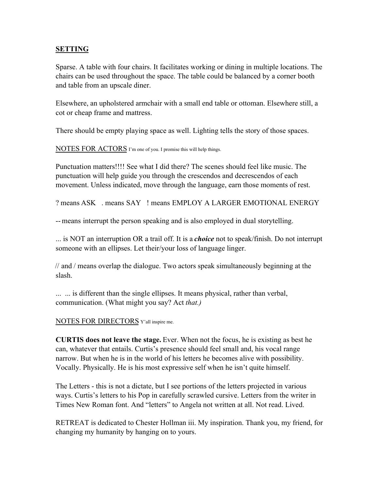### **SETTING**

Sparse. A table with four chairs. It facilitates working or dining in multiple locations. The chairs can be used throughout the space. The table could be balanced by a corner booth and table from an upscale diner.

Elsewhere, an upholstered armchair with a small end table or ottoman. Elsewhere still, a cot or cheap frame and mattress.

There should be empty playing space as well. Lighting tells the story of those spaces.

NOTES FOR ACTORS I'm one of you. I promise this will help things.

Punctuation matters!!!! See what I did there? The scenes should feel like music. The punctuation will help guide you through the crescendos and decrescendos of each movement. Unless indicated, move through the language, earn those moments of rest.

? means ASK . means SAY ! means EMPLOY A LARGER EMOTIONAL ENERGY

-- means interrupt the person speaking and is also employed in dual storytelling.

... is NOT an interruption OR a trail off. It is a *choice* not to speak/finish. Do not interrupt someone with an ellipses. Let their/your loss of language linger.

// and / means overlap the dialogue. Two actors speak simultaneously beginning at the slash.

... ... is different than the single ellipses. It means physical, rather than verbal, communication. (What might you say? Act *that.)*

### NOTES FOR DIRECTORS Y'all inspire me.

**CURTIS does not leave the stage.** Ever. When not the focus, he is existing as best he can, whatever that entails. Curtis's presence should feel small and, his vocal range narrow. But when he is in the world of his letters he becomes alive with possibility. Vocally. Physically. He is his most expressive self when he isn't quite himself.

The Letters - this is not a dictate, but I see portions of the letters projected in various ways. Curtis's letters to his Pop in carefully scrawled cursive. Letters from the writer in Times New Roman font. And "letters" to Angela not written at all. Not read. Lived.

RETREAT is dedicated to Chester Hollman iii. My inspiration. Thank you, my friend, for changing my humanity by hanging on to yours.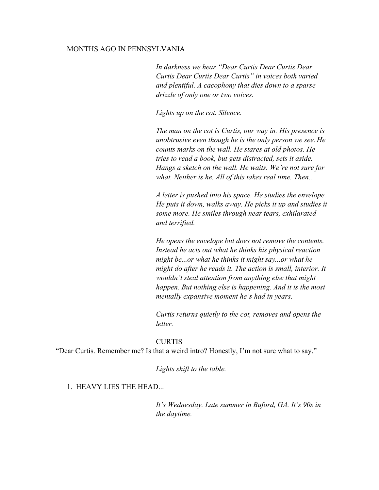#### MONTHS AGO IN PENNSYLVANIA

*In darkness we hear "Dear Curtis Dear Curtis Dear Curtis Dear Curtis Dear Curtis" in voices both varied and plentiful. A cacophony that dies down to a sparse drizzle of only one or two voices.*

*Lights up on the cot. Silence.*

*The man on the cot is Curtis, our way in. His presence is unobtrusive even though he is the only person we see. He counts marks on the wall. He stares at old photos. He tries to read a book, but gets distracted, sets it aside. Hangs a sketch on the wall. He waits. We're not sure for what. Neither is he. All of this takes real time. Then...*

*A letter is pushed into his space. He studies the envelope. He puts it down, walks away. He picks it up and studies it some more. He smiles through near tears, exhilarated and terrified.*

*He opens the envelope but does not remove the contents. Instead he acts out what he thinks his physical reaction might be...or what he thinks it might say...or what he might do after he reads it. The action is small, interior. It wouldn't steal attention from anything else that might happen. But nothing else is happening. And it is the most mentally expansive moment he's had in years.*

*Curtis returns quietly to the cot, removes and opens the letter.*

#### **CURTIS**

"Dear Curtis. Remember me? Is that a weird intro? Honestly, I'm not sure what to say."

*Lights shift to the table.*

1. HEAVY LIES THE HEAD...

*It's Wednesday. Late summer in Buford, GA. It's 90s in the daytime.*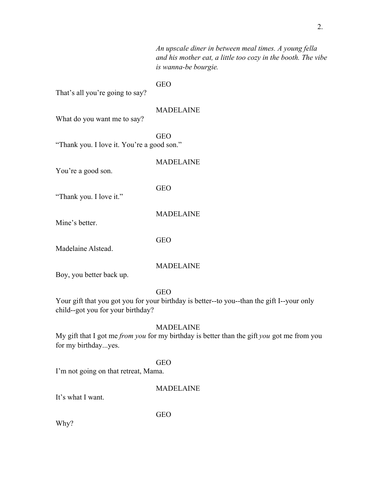*An upscale diner in between meal times. A young fella and his mother eat, a little too cozy in the booth. The vibe is wanna-be bourgie.*

GEO

That's all you're going to say?

### MADELAINE

What do you want me to say?

GEO "Thank you. I love it. You're a good son."

You're a good son.

GEO

MADELAINE

MADELAINE

"Thank you. I love it."

Mine's better.

GEO

Madelaine Alstead.

MADELAINE

Boy, you better back up.

GEO

Your gift that you got you for your birthday is better--to you--than the gift I--your only child--got you for your birthday?

#### MADELAINE

My gift that I got me *from you* for my birthday is better than the gift *you* got me from you for my birthday...yes.

#### GEO

I'm not going on that retreat, Mama.

#### MADELAINE

It's what I want.

GEO

Why?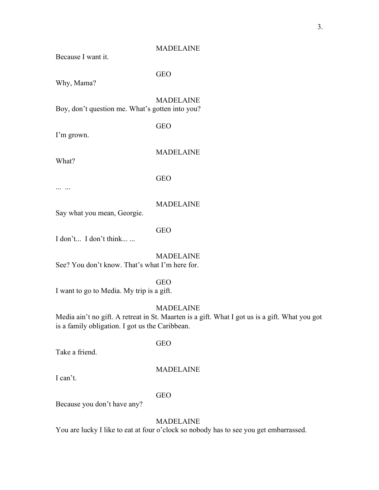Because I want it.

GEO

Why, Mama?

MADELAINE Boy, don't question me. What's gotten into you?

GEO

I'm grown.

What?

GEO

... ...

### MADELAINE

MADELAINE

Say what you mean, Georgie.

### GEO

I don't... I don't think... ...

MADELAINE See? You don't know. That's what I'm here for.

#### GEO

I want to go to Media. My trip is a gift.

### MADELAINE

Media ain't no gift. A retreat in St. Maarten is a gift. What I got us is a gift. What you got is a family obligation. I got us the Caribbean.

#### GEO

Take a friend.

### MADELAINE

I can't.

#### GEO

Because you don't have any?

### MADELAINE

You are lucky I like to eat at four o'clock so nobody has to see you get embarrassed.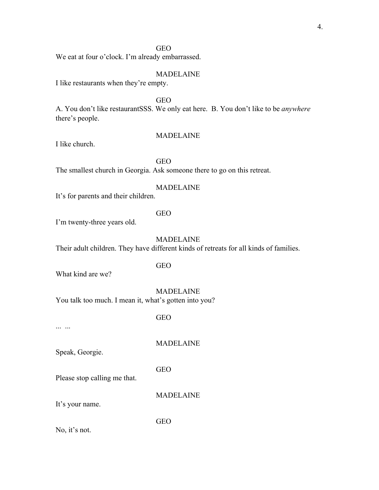### GEO

We eat at four o'clock. I'm already embarrassed.

#### MADELAINE

I like restaurants when they're empty.

GEO

A. You don't like restaurantSSS. We only eat here. B. You don't like to be *anywhere* there's people.

#### MADELAINE

I like church.

### GEO

The smallest church in Georgia. Ask someone there to go on this retreat.

#### MADELAINE

It's for parents and their children.

### GEO

I'm twenty-three years old.

### MADELAINE

Their adult children. They have different kinds of retreats for all kinds of families.

### GEO

What kind are we?

MADELAINE

You talk too much. I mean it, what's gotten into you?

GEO

... ...

Speak, Georgie.

GEO

Please stop calling me that.

MADELAINE

MADELAINE

It's your name.

GEO

No, it's not.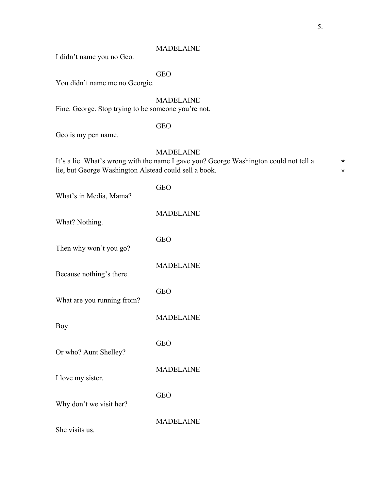I didn't name you no Geo.

### GEO

You didn't name me no Georgie.

### MADELAINE

Fine. George. Stop trying to be someone you're not.

### GEO

Geo is my pen name.

### MADELAINE

| It's a lie. What's wrong with the name I gave you? George Washington could not tell a |  |
|---------------------------------------------------------------------------------------|--|
| lie, but George Washington Alstead could sell a book.                                 |  |

| <b>GEO</b>       |
|------------------|
| <b>MADELAINE</b> |
| <b>GEO</b>       |
| <b>MADELAINE</b> |
| <b>GEO</b>       |
| <b>MADELAINE</b> |
| <b>GEO</b>       |
| <b>MADELAINE</b> |
| <b>GEO</b>       |
| <b>MADELAINE</b> |
|                  |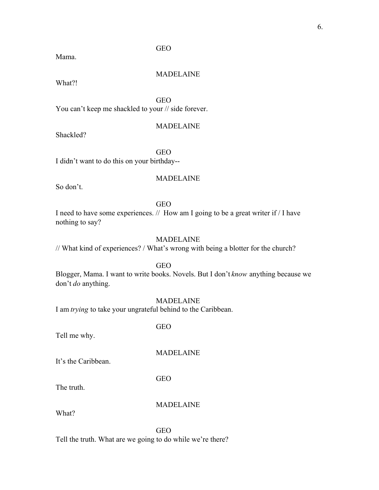Mama.

#### MADELAINE

What?!

GEO

GEO

You can't keep me shackled to your // side forever.

### MADELAINE

Shackled?

GEO

I didn't want to do this on your birthday--

### MADELAINE

So don't.

### GEO

I need to have some experiences. // How am I going to be a great writer if / I have nothing to say?

### MADELAINE

// What kind of experiences? / What's wrong with being a blotter for the church?

GEO

Blogger, Mama. I want to write books. Novels. But I don't *know* anything because we don't *do* anything.

#### MADELAINE

I am *trying* to take your ungrateful behind to the Caribbean.

Tell me why.

MADELAINE

It's the Caribbean.

GEO

GEO

The truth.

### MADELAINE

What?

GEO Tell the truth. What are we going to do while we're there?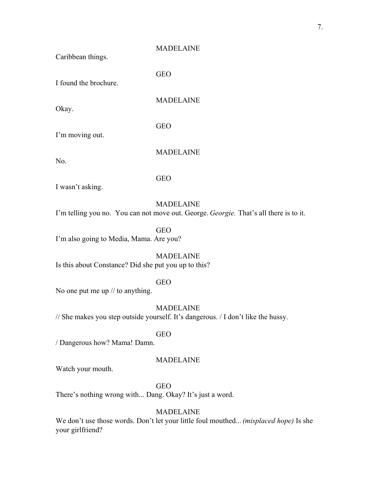GEO

GEO

GEO

Caribbean things.

I found the brochure.

Okay.

MADELAINE

I'm moving out.

No.

MADELAINE

I wasn't asking.

### MADELAINE

I'm telling you no. You can not move out. George. *Georgie.* That's all there is to it.

GEO

I'm also going to Media, Mama. Are you?

MADELAINE Is this about Constance? Did she put you up to this?

### GEO

No one put me up // to anything.

MADELAINE

// She makes you step outside yourself. It's dangerous. / I don't like the hussy.

GEO

/ Dangerous how? Mama! Damn.

### MADELAINE

Watch your mouth.

GEO

There's nothing wrong with... Dang. Okay? It's just a word.

### MADELAINE

We don't use those words. Don't let your little foul mouthed... *(misplaced hope)* Is she your girlfriend?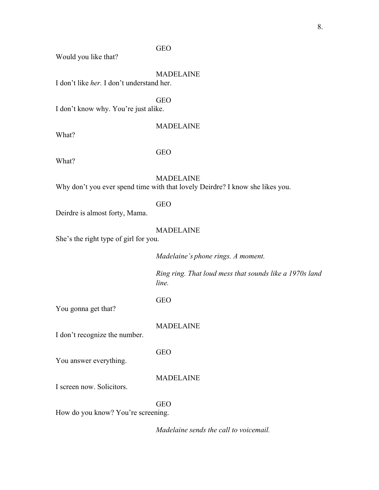### GEO

Would you like that?

### MADELAINE

I don't like *her.* I don't understand her.

### **GEO**

I don't know why. You're just alike.

What?

### MADELAINE

What?

### GEO

MADELAINE

Why don't you ever spend time with that lovely Deirdre? I know she likes you.

### GEO

Deirdre is almost forty, Mama.

### MADELAINE

She's the right type of girl for you.

*Madelaine's phone rings. A moment.*

*Ring ring. That loud mess that sounds like a 1970s land line.*

GEO

You gonna get that?

MADELAINE

I don't recognize the number.

GEO

You answer everything.

MADELAINE

I screen now. Solicitors.

#### GEO

How do you know? You're screening.

*Madelaine sends the call to voicemail.*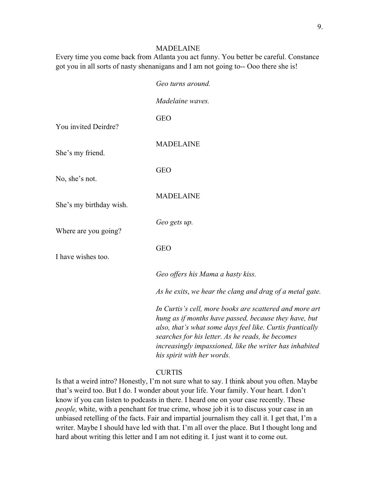Every time you come back from Atlanta you act funny. You better be careful. Constance got you in all sorts of nasty shenanigans and I am not going to-- Ooo there she is!

|                         | Geo turns around.                                                                                                                                                                                                                                                                                                          |
|-------------------------|----------------------------------------------------------------------------------------------------------------------------------------------------------------------------------------------------------------------------------------------------------------------------------------------------------------------------|
|                         | Madelaine waves.                                                                                                                                                                                                                                                                                                           |
| You invited Deirdre?    | <b>GEO</b>                                                                                                                                                                                                                                                                                                                 |
| She's my friend.        | <b>MADELAINE</b>                                                                                                                                                                                                                                                                                                           |
| No, she's not.          | <b>GEO</b>                                                                                                                                                                                                                                                                                                                 |
| She's my birthday wish. | <b>MADELAINE</b>                                                                                                                                                                                                                                                                                                           |
| Where are you going?    | Geo gets up.                                                                                                                                                                                                                                                                                                               |
| I have wishes too.      | <b>GEO</b>                                                                                                                                                                                                                                                                                                                 |
|                         | Geo offers his Mama a hasty kiss.                                                                                                                                                                                                                                                                                          |
|                         | As he exits, we hear the clang and drag of a metal gate.                                                                                                                                                                                                                                                                   |
|                         | In Curtis's cell, more books are scattered and more art<br>hung as if months have passed, because they have, but<br>also, that's what some days feel like. Curtis frantically<br>searches for his letter. As he reads, he becomes<br>increasingly impassioned, like the writer has inhabited<br>his spirit with her words. |

#### CURTIS

Is that a weird intro? Honestly, I'm not sure what to say. I think about you often. Maybe that's weird too. But I do. I wonder about your life. Your family. Your heart. I don't know if you can listen to podcasts in there. I heard one on your case recently. These *people,* white, with a penchant for true crime, whose job it is to discuss your case in an unbiased retelling of the facts. Fair and impartial journalism they call it. I get that, I'm a writer. Maybe I should have led with that. I'm all over the place. But I thought long and hard about writing this letter and I am not editing it. I just want it to come out.